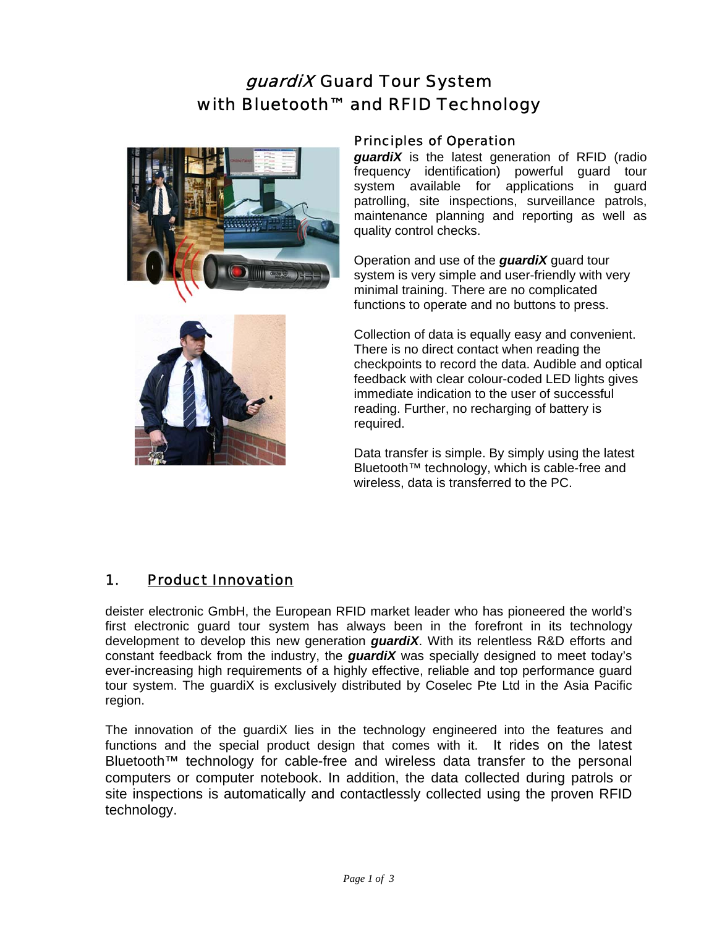# guardiX Guard Tour System with Bluetooth™ and RFID Technology





### Principles of Operation

*guardiX* is the latest generation of RFID (radio frequency identification) powerful guard tour system available for applications in guard patrolling, site inspections, surveillance patrols, maintenance planning and reporting as well as quality control checks.

Operation and use of the *guardiX* guard tour system is very simple and user-friendly with very minimal training. There are no complicated functions to operate and no buttons to press.

Collection of data is equally easy and convenient. There is no direct contact when reading the checkpoints to record the data. Audible and optical feedback with clear colour-coded LED lights gives immediate indication to the user of successful reading. Further, no recharging of battery is required.

Data transfer is simple. By simply using the latest Bluetooth™ technology, which is cable-free and wireless, data is transferred to the PC.

# 1. Product Innovation

deister electronic GmbH, the European RFID market leader who has pioneered the world's first electronic guard tour system has always been in the forefront in its technology development to develop this new generation *guardiX*. With its relentless R&D efforts and constant feedback from the industry, the *guardiX* was specially designed to meet today's ever-increasing high requirements of a highly effective, reliable and top performance guard tour system. The guardiX is exclusively distributed by Coselec Pte Ltd in the Asia Pacific region.

The innovation of the guardiX lies in the technology engineered into the features and functions and the special product design that comes with it. It rides on the latest Bluetooth™ technology for cable-free and wireless data transfer to the personal computers or computer notebook. In addition, the data collected during patrols or site inspections is automatically and contactlessly collected using the proven RFID technology.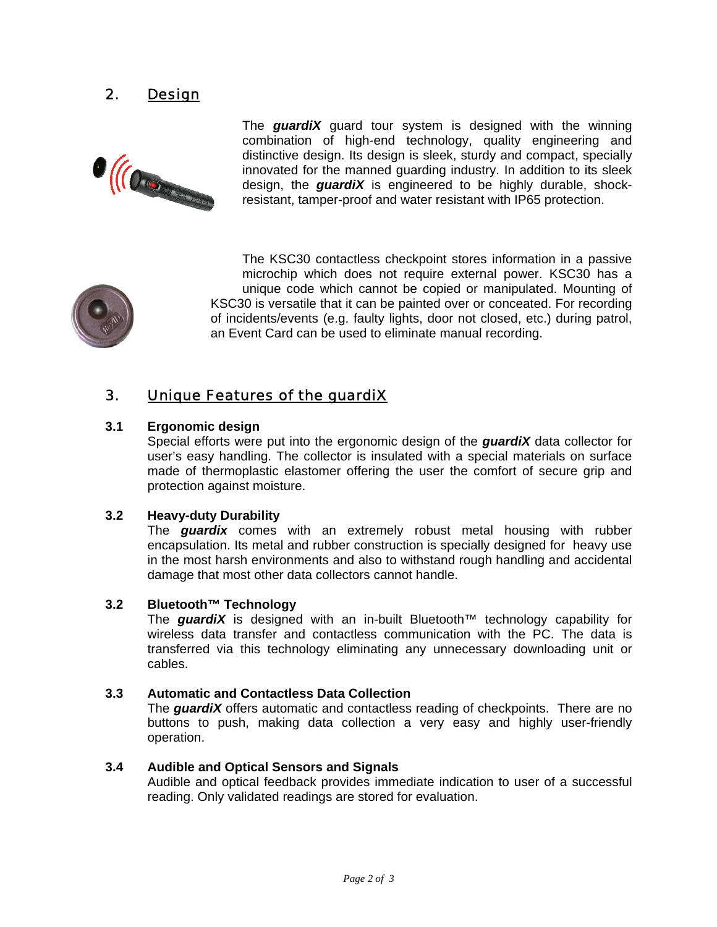# 2. Design



The *guardiX* guard tour system is designed with the winning combination of high-end technology, quality engineering and distinctive design. Its design is sleek, sturdy and compact, specially innovated for the manned guarding industry. In addition to its sleek design, the *guardiX* is engineered to be highly durable, shockresistant, tamper-proof and water resistant with IP65 protection.



The KSC30 contactless checkpoint stores information in a passive microchip which does not require external power. KSC30 has a unique code which cannot be copied or manipulated. Mounting of KSC30 is versatile that it can be painted over or conceated. For recording of incidents/events (e.g. faulty lights, door not closed, etc.) during patrol, an Event Card can be used to eliminate manual recording.

## 3. Unique Features of the guardiX

### **3.1 Ergonomic design**

Special efforts were put into the ergonomic design of the *guardiX* data collector for user's easy handling. The collector is insulated with a special materials on surface made of thermoplastic elastomer offering the user the comfort of secure grip and protection against moisture.

#### **3.2 Heavy-duty Durability**

The *guardix* comes with an extremely robust metal housing with rubber encapsulation. Its metal and rubber construction is specially designed for heavy use in the most harsh environments and also to withstand rough handling and accidental damage that most other data collectors cannot handle.

#### **3.2 Bluetooth™ Technology**

The *guardiX* is designed with an in-built Bluetooth™ technology capability for wireless data transfer and contactless communication with the PC. The data is transferred via this technology eliminating any unnecessary downloading unit or cables.

#### **3.3 Automatic and Contactless Data Collection**

The *guardiX* offers automatic and contactless reading of checkpoints. There are no buttons to push, making data collection a very easy and highly user-friendly operation.

#### **3.4 Audible and Optical Sensors and Signals**

Audible and optical feedback provides immediate indication to user of a successful reading. Only validated readings are stored for evaluation.